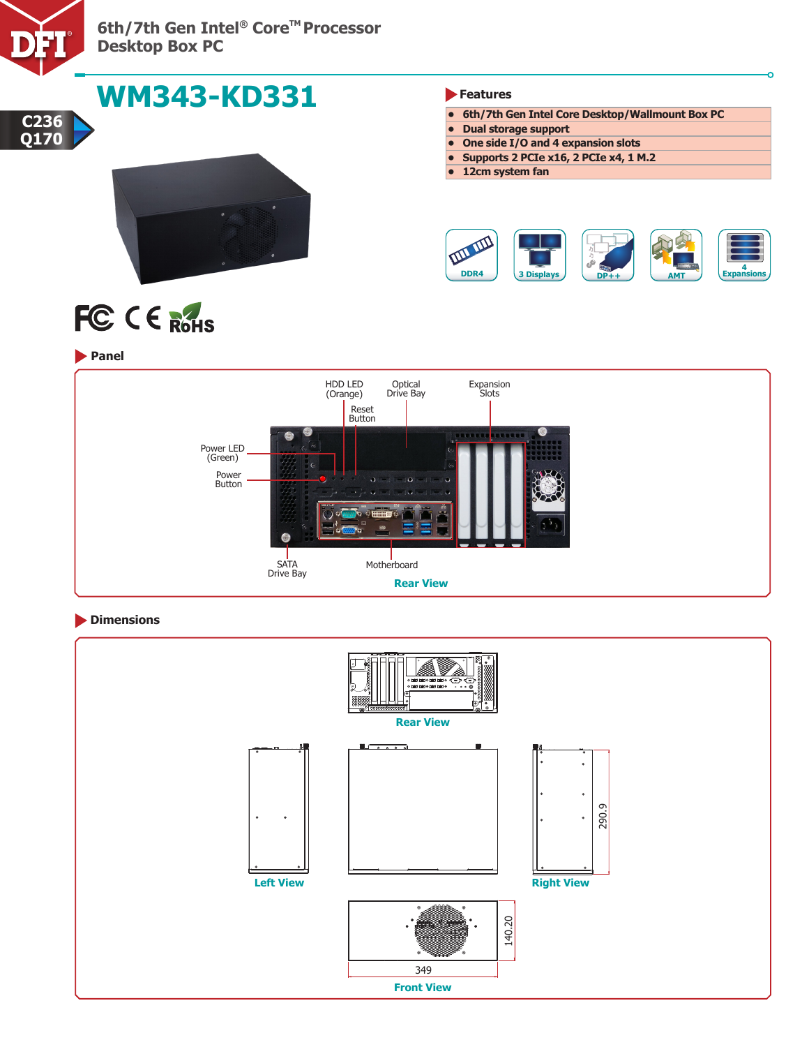

**6th/7th Gen Intel® Core™ Processor Desktop Box PC**

Power Button

SATA Drive Bay

Ġ

| <b>WM343-KD331</b>           | Features                                                                                                 |
|------------------------------|----------------------------------------------------------------------------------------------------------|
| C <sub>236</sub>             | 6th/7th Gen Intel Core Desktop/Wallmount Box PC                                                          |
|                              | <b>Dual storage support</b><br>$\bullet$                                                                 |
| Q170                         | One side I/O and 4 expansion slots<br>$\bullet$                                                          |
|                              | Supports 2 PCIe x16, 2 PCIe x4, 1 M.2<br>12cm system fan                                                 |
| FC CE ROHS<br><b>D</b> Panel | Expansions<br>DDR4<br><b>3 Displays</b><br>$DP++$<br><b>AMT</b>                                          |
|                              | <b>HDD LED</b><br>Optical<br>Expansion<br>Drive Bay<br>(Orange)<br>Slots <sup>'</sup><br>Reset<br>Button |
| Power LED<br>(Green)         |                                                                                                          |

# **Dimensions**



**Rear View**

**Motherboard** 

 $\bullet$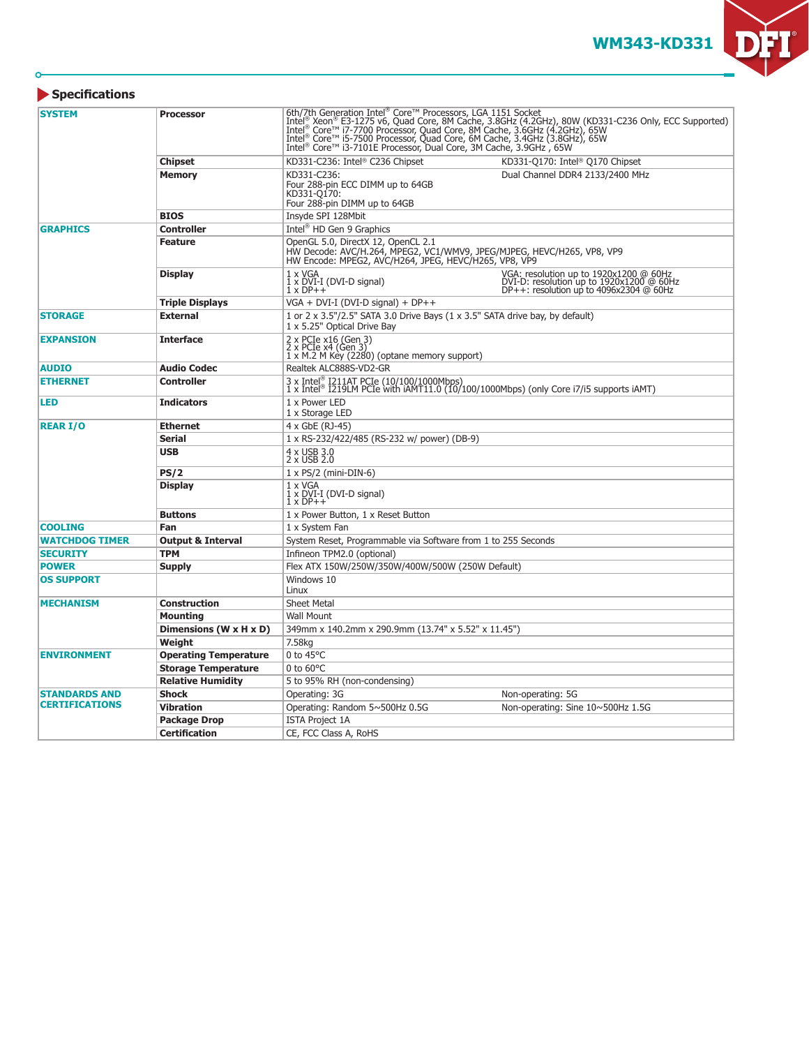**WM343-KD331**

 $\blacksquare$ 

DI

#### **Specifications**

 $\overline{O}$ 

| <b>SYSTEM</b>         | <b>Processor</b>             | 6th/7th Generation Intel® Core™ Processors, LGA 1151 Socket<br>Intel® Xeon® E3-1275 v6, Quad Core, 8M Cache, 3.8GHz (4.2GHz), 80W (KD331-C236 Only, ECC Supported)<br>Intel® Core™ i7-7700 Processor, Quad Core, 8M Cache, 3.6GHz (<br>Intel <sup>®</sup> Core™ i3-7101E Processor, Dual Core, 3M Cache, 3.9GHz, 65W |                                                                                                                               |  |
|-----------------------|------------------------------|----------------------------------------------------------------------------------------------------------------------------------------------------------------------------------------------------------------------------------------------------------------------------------------------------------------------|-------------------------------------------------------------------------------------------------------------------------------|--|
|                       | <b>Chipset</b>               | KD331-C236: Intel® C236 Chipset                                                                                                                                                                                                                                                                                      | KD331-Q170: Intel <sup>®</sup> Q170 Chipset                                                                                   |  |
|                       | <b>Memory</b>                | KD331-C236:<br>Four 288-pin ECC DIMM up to 64GB<br>KD331-O170:<br>Four 288-pin DIMM up to 64GB                                                                                                                                                                                                                       | Dual Channel DDR4 2133/2400 MHz                                                                                               |  |
|                       | <b>BIOS</b>                  | Insyde SPI 128Mbit                                                                                                                                                                                                                                                                                                   |                                                                                                                               |  |
| <b>GRAPHICS</b>       | <b>Controller</b>            | Intel <sup>®</sup> HD Gen 9 Graphics                                                                                                                                                                                                                                                                                 |                                                                                                                               |  |
|                       | <b>Feature</b>               | OpenGL 5.0, DirectX 12, OpenCL 2.1<br>HW Decode: AVC/H.264, MPEG2, VC1/WMV9, JPEG/MJPEG, HEVC/H265, VP8, VP9<br>HW Encode: MPEG2, AVC/H264, JPEG, HEVC/H265, VP8, VP9                                                                                                                                                |                                                                                                                               |  |
|                       | <b>Display</b>               | 1 x VGA<br>1 x DVI-I (DVI-D signal)<br>$1 \times DP++$                                                                                                                                                                                                                                                               | VGA: resolution up to 1920x1200 @ 60Hz<br>DVI-D: resolution up to 1920x1200 @ 60Hz<br>DP++: resolution up to 4096x2304 @ 60Hz |  |
|                       | <b>Triple Displays</b>       | $VGA + DVI-I (DVI-D signal) + DP++$                                                                                                                                                                                                                                                                                  |                                                                                                                               |  |
| <b>STORAGE</b>        | <b>External</b>              | 1 or $2 \times 3.5$ "/2.5" SATA 3.0 Drive Bays (1 $\times$ 3.5" SATA drive bay, by default)<br>1 x 5.25" Optical Drive Bay                                                                                                                                                                                           |                                                                                                                               |  |
| <b>EXPANSION</b>      | <b>Interface</b>             | 2 x PCIe x16 (Gen 3)<br>2 x PCIe x4 (Gen 3)<br>1 x M.2 M Key (2280) (optane memory support)                                                                                                                                                                                                                          |                                                                                                                               |  |
| <b>AUDIO</b>          | <b>Audio Codec</b>           | Realtek ALC888S-VD2-GR                                                                                                                                                                                                                                                                                               |                                                                                                                               |  |
| <b>ETHERNET</b>       | <b>Controller</b>            | 3 x Intel® I211AT PCIe (10/100/1000Mbps)<br>1 x Intel® I219LM PCIe with iAMT11.0 (10/100/1000Mbps) (only Core i7/i5 supports iAMT)                                                                                                                                                                                   |                                                                                                                               |  |
| <b>LED</b>            | <b>Indicators</b>            | 1 x Power LED<br>1 x Storage LED                                                                                                                                                                                                                                                                                     |                                                                                                                               |  |
| <b>REAR I/O</b>       | <b>Ethernet</b>              | 4 x GbE (RJ-45)                                                                                                                                                                                                                                                                                                      |                                                                                                                               |  |
|                       | Serial                       | 1 x RS-232/422/485 (RS-232 w/ power) (DB-9)                                                                                                                                                                                                                                                                          |                                                                                                                               |  |
|                       | <b>USB</b>                   | 4 x USB 3.0<br>2 x USB 2.0                                                                                                                                                                                                                                                                                           |                                                                                                                               |  |
|                       | PS/2                         | $1 \times PS/2$ (mini-DIN-6)                                                                                                                                                                                                                                                                                         |                                                                                                                               |  |
|                       | <b>Display</b>               | $1 \times VGA$<br>$1 \times DVI-I$ (DVI-D signal)<br>$\overline{1}$ x $\overline{DP}$ + +                                                                                                                                                                                                                            |                                                                                                                               |  |
|                       | <b>Buttons</b>               | 1 x Power Button, 1 x Reset Button                                                                                                                                                                                                                                                                                   |                                                                                                                               |  |
| <b>COOLING</b>        | Fan                          | 1 x System Fan                                                                                                                                                                                                                                                                                                       |                                                                                                                               |  |
| <b>WATCHDOG TIMER</b> | <b>Output &amp; Interval</b> | System Reset, Programmable via Software from 1 to 255 Seconds                                                                                                                                                                                                                                                        |                                                                                                                               |  |
| <b>SECURITY</b>       | <b>TPM</b>                   | Infineon TPM2.0 (optional)                                                                                                                                                                                                                                                                                           |                                                                                                                               |  |
| <b>POWER</b>          | <b>Supply</b>                | Flex ATX 150W/250W/350W/400W/500W (250W Default)                                                                                                                                                                                                                                                                     |                                                                                                                               |  |
| <b>OS SUPPORT</b>     |                              | Windows 10<br>Linux                                                                                                                                                                                                                                                                                                  |                                                                                                                               |  |
| <b>MECHANISM</b>      | <b>Construction</b>          | <b>Sheet Metal</b>                                                                                                                                                                                                                                                                                                   |                                                                                                                               |  |
|                       | <b>Mounting</b>              | <b>Wall Mount</b>                                                                                                                                                                                                                                                                                                    |                                                                                                                               |  |
|                       | Dimensions (W x H x D)       | 349mm x 140.2mm x 290.9mm (13.74" x 5.52" x 11.45")                                                                                                                                                                                                                                                                  |                                                                                                                               |  |
|                       | Weight                       | 7.58kg                                                                                                                                                                                                                                                                                                               |                                                                                                                               |  |
| <b>ENVIRONMENT</b>    | <b>Operating Temperature</b> | 0 to $45^{\circ}$ C                                                                                                                                                                                                                                                                                                  |                                                                                                                               |  |
|                       | <b>Storage Temperature</b>   | $0$ to $60^{\circ}$ C                                                                                                                                                                                                                                                                                                |                                                                                                                               |  |
|                       | <b>Relative Humidity</b>     | 5 to 95% RH (non-condensing)                                                                                                                                                                                                                                                                                         |                                                                                                                               |  |
| <b>STANDARDS AND</b>  | Shock                        | Operating: 3G                                                                                                                                                                                                                                                                                                        | Non-operating: 5G                                                                                                             |  |
| <b>CERTIFICATIONS</b> | <b>Vibration</b>             | Operating: Random 5~500Hz 0.5G                                                                                                                                                                                                                                                                                       | Non-operating: Sine 10~500Hz 1.5G                                                                                             |  |
|                       | <b>Package Drop</b>          | <b>ISTA Project 1A</b>                                                                                                                                                                                                                                                                                               |                                                                                                                               |  |
|                       | <b>Certification</b>         | CE, FCC Class A, RoHS                                                                                                                                                                                                                                                                                                |                                                                                                                               |  |
|                       |                              |                                                                                                                                                                                                                                                                                                                      |                                                                                                                               |  |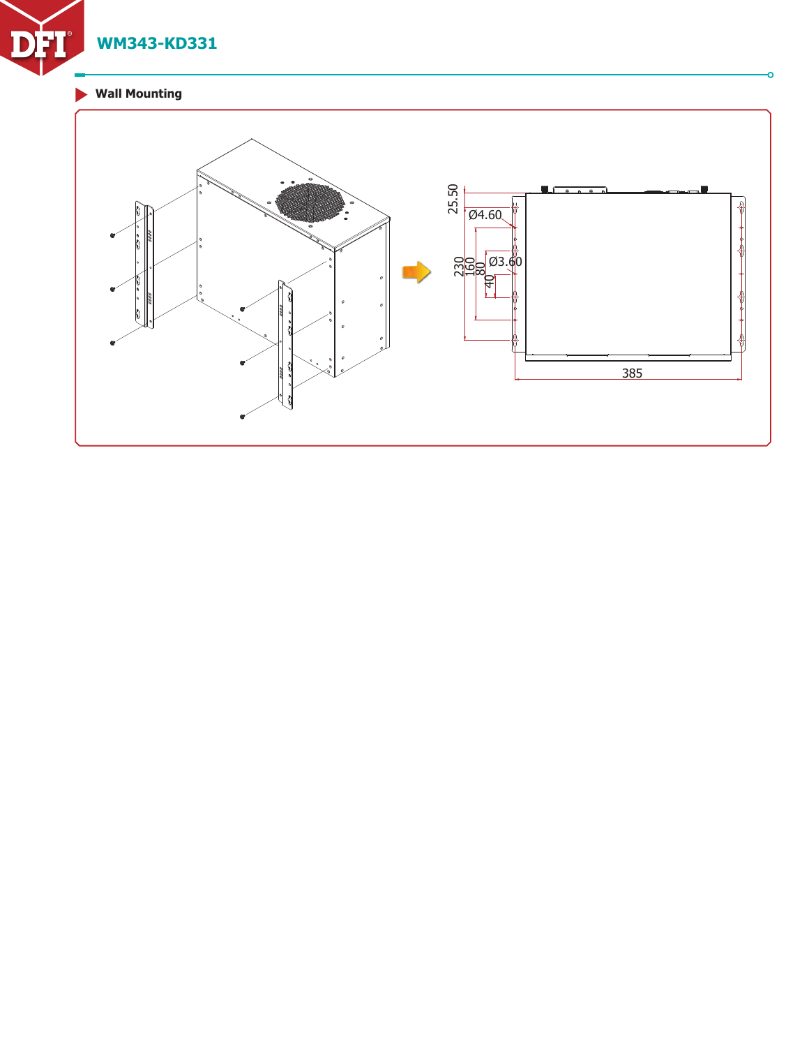

# **Wall Mounting**